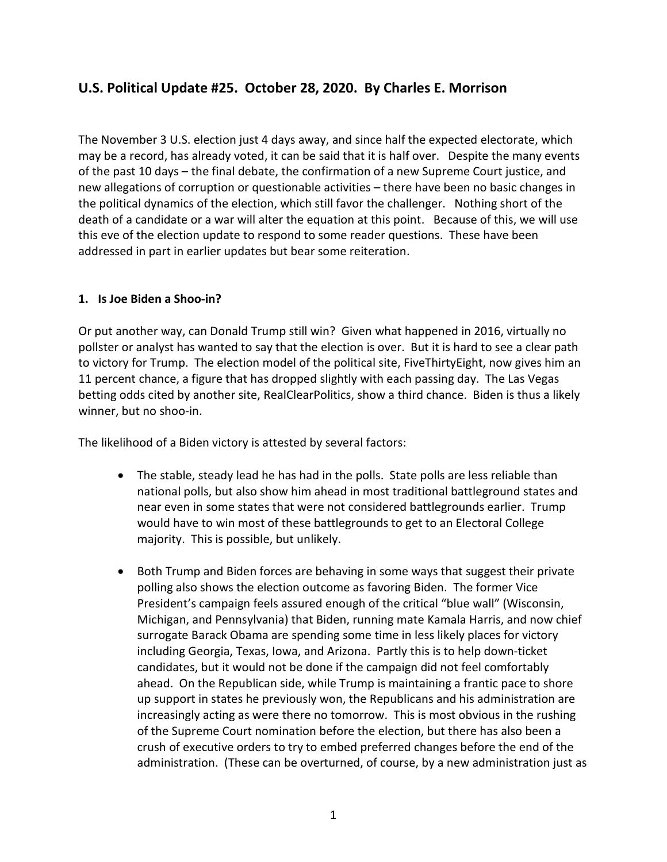# U.S. Political Update #25. October 28, 2020. By Charles E. Morrison

The November 3 U.S. election just 4 days away, and since half the expected electorate, which may be a record, has already voted, it can be said that it is half over. Despite the many events of the past 10 days – the final debate, the confirmation of a new Supreme Court justice, and new allegations of corruption or questionable activities – there have been no basic changes in the political dynamics of the election, which still favor the challenger. Nothing short of the death of a candidate or a war will alter the equation at this point. Because of this, we will use this eve of the election update to respond to some reader questions. These have been addressed in part in earlier updates but bear some reiteration.

### 1. Is Joe Biden a Shoo-in?

Or put another way, can Donald Trump still win? Given what happened in 2016, virtually no pollster or analyst has wanted to say that the election is over. But it is hard to see a clear path to victory for Trump. The election model of the political site, FiveThirtyEight, now gives him an 11 percent chance, a figure that has dropped slightly with each passing day. The Las Vegas betting odds cited by another site, RealClearPolitics, show a third chance. Biden is thus a likely winner, but no shoo-in.

The likelihood of a Biden victory is attested by several factors:

- The stable, steady lead he has had in the polls. State polls are less reliable than national polls, but also show him ahead in most traditional battleground states and near even in some states that were not considered battlegrounds earlier. Trump would have to win most of these battlegrounds to get to an Electoral College majority. This is possible, but unlikely.
- Both Trump and Biden forces are behaving in some ways that suggest their private polling also shows the election outcome as favoring Biden. The former Vice President's campaign feels assured enough of the critical "blue wall" (Wisconsin, Michigan, and Pennsylvania) that Biden, running mate Kamala Harris, and now chief surrogate Barack Obama are spending some time in less likely places for victory including Georgia, Texas, Iowa, and Arizona. Partly this is to help down-ticket candidates, but it would not be done if the campaign did not feel comfortably ahead. On the Republican side, while Trump is maintaining a frantic pace to shore up support in states he previously won, the Republicans and his administration are increasingly acting as were there no tomorrow. This is most obvious in the rushing of the Supreme Court nomination before the election, but there has also been a crush of executive orders to try to embed preferred changes before the end of the administration. (These can be overturned, of course, by a new administration just as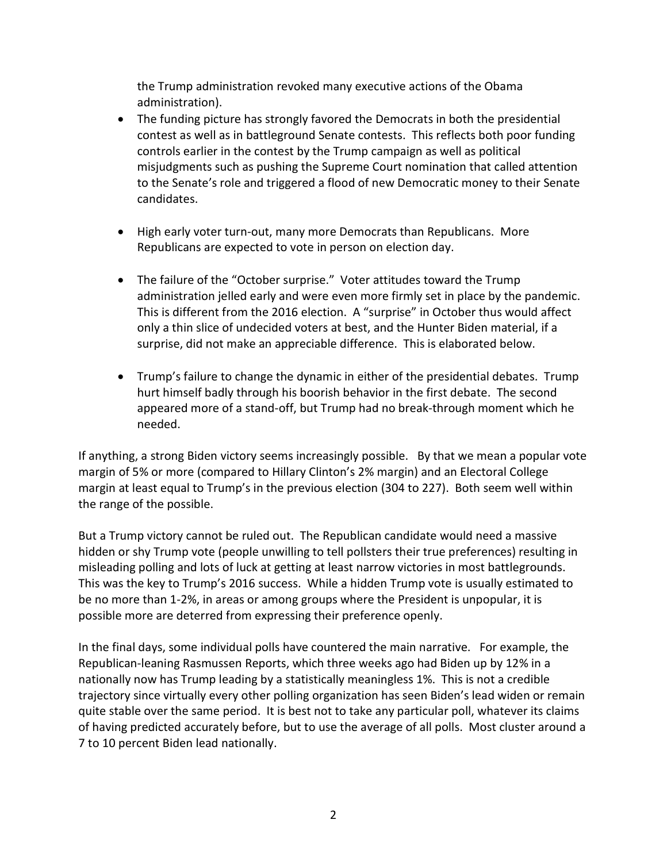the Trump administration revoked many executive actions of the Obama administration).

- The funding picture has strongly favored the Democrats in both the presidential contest as well as in battleground Senate contests. This reflects both poor funding controls earlier in the contest by the Trump campaign as well as political misjudgments such as pushing the Supreme Court nomination that called attention to the Senate's role and triggered a flood of new Democratic money to their Senate candidates.
- High early voter turn-out, many more Democrats than Republicans. More Republicans are expected to vote in person on election day.
- The failure of the "October surprise." Voter attitudes toward the Trump administration jelled early and were even more firmly set in place by the pandemic. This is different from the 2016 election. A "surprise" in October thus would affect only a thin slice of undecided voters at best, and the Hunter Biden material, if a surprise, did not make an appreciable difference. This is elaborated below.
- Trump's failure to change the dynamic in either of the presidential debates. Trump hurt himself badly through his boorish behavior in the first debate. The second appeared more of a stand-off, but Trump had no break-through moment which he needed.

If anything, a strong Biden victory seems increasingly possible. By that we mean a popular vote margin of 5% or more (compared to Hillary Clinton's 2% margin) and an Electoral College margin at least equal to Trump's in the previous election (304 to 227). Both seem well within the range of the possible.

But a Trump victory cannot be ruled out. The Republican candidate would need a massive hidden or shy Trump vote (people unwilling to tell pollsters their true preferences) resulting in misleading polling and lots of luck at getting at least narrow victories in most battlegrounds. This was the key to Trump's 2016 success. While a hidden Trump vote is usually estimated to be no more than 1-2%, in areas or among groups where the President is unpopular, it is possible more are deterred from expressing their preference openly.

In the final days, some individual polls have countered the main narrative. For example, the Republican-leaning Rasmussen Reports, which three weeks ago had Biden up by 12% in a nationally now has Trump leading by a statistically meaningless 1%. This is not a credible trajectory since virtually every other polling organization has seen Biden's lead widen or remain quite stable over the same period. It is best not to take any particular poll, whatever its claims of having predicted accurately before, but to use the average of all polls. Most cluster around a 7 to 10 percent Biden lead nationally.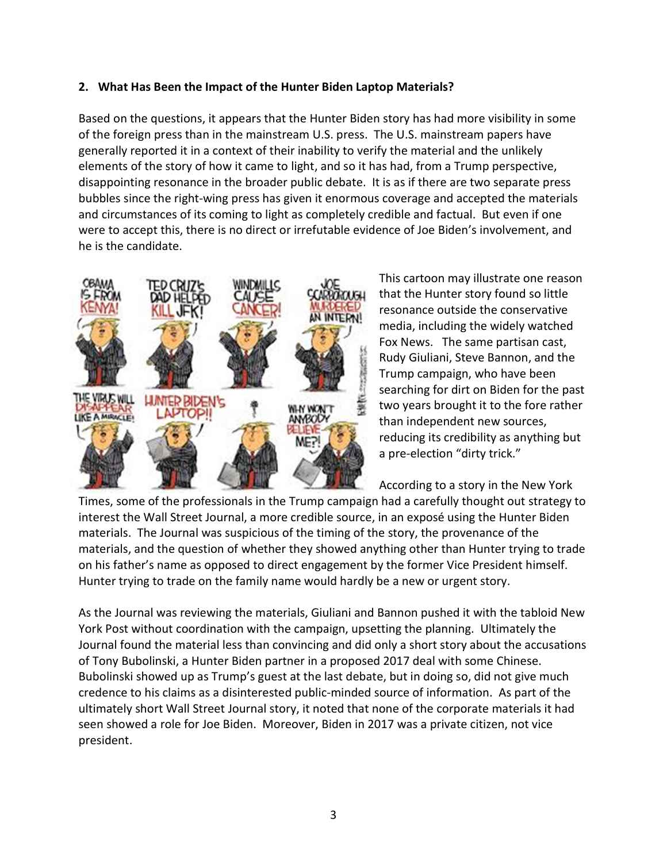#### 2. What Has Been the Impact of the Hunter Biden Laptop Materials?

Based on the questions, it appears that the Hunter Biden story has had more visibility in some of the foreign press than in the mainstream U.S. press. The U.S. mainstream papers have generally reported it in a context of their inability to verify the material and the unlikely elements of the story of how it came to light, and so it has had, from a Trump perspective, disappointing resonance in the broader public debate. It is as if there are two separate press bubbles since the right-wing press has given it enormous coverage and accepted the materials and circumstances of its coming to light as completely credible and factual. But even if one were to accept this, there is no direct or irrefutable evidence of Joe Biden's involvement, and he is the candidate.



This cartoon may illustrate one reason that the Hunter story found so little resonance outside the conservative media, including the widely watched Fox News. The same partisan cast, Rudy Giuliani, Steve Bannon, and the Trump campaign, who have been searching for dirt on Biden for the past two years brought it to the fore rather than independent new sources, reducing its credibility as anything but a pre-election "dirty trick."

According to a story in the New York

Times, some of the professionals in the Trump campaign had a carefully thought out strategy to interest the Wall Street Journal, a more credible source, in an exposé using the Hunter Biden materials. The Journal was suspicious of the timing of the story, the provenance of the materials, and the question of whether they showed anything other than Hunter trying to trade on his father's name as opposed to direct engagement by the former Vice President himself. Hunter trying to trade on the family name would hardly be a new or urgent story.

As the Journal was reviewing the materials, Giuliani and Bannon pushed it with the tabloid New York Post without coordination with the campaign, upsetting the planning. Ultimately the Journal found the material less than convincing and did only a short story about the accusations of Tony Bubolinski, a Hunter Biden partner in a proposed 2017 deal with some Chinese. Bubolinski showed up as Trump's guest at the last debate, but in doing so, did not give much credence to his claims as a disinterested public-minded source of information. As part of the ultimately short Wall Street Journal story, it noted that none of the corporate materials it had seen showed a role for Joe Biden. Moreover, Biden in 2017 was a private citizen, not vice president.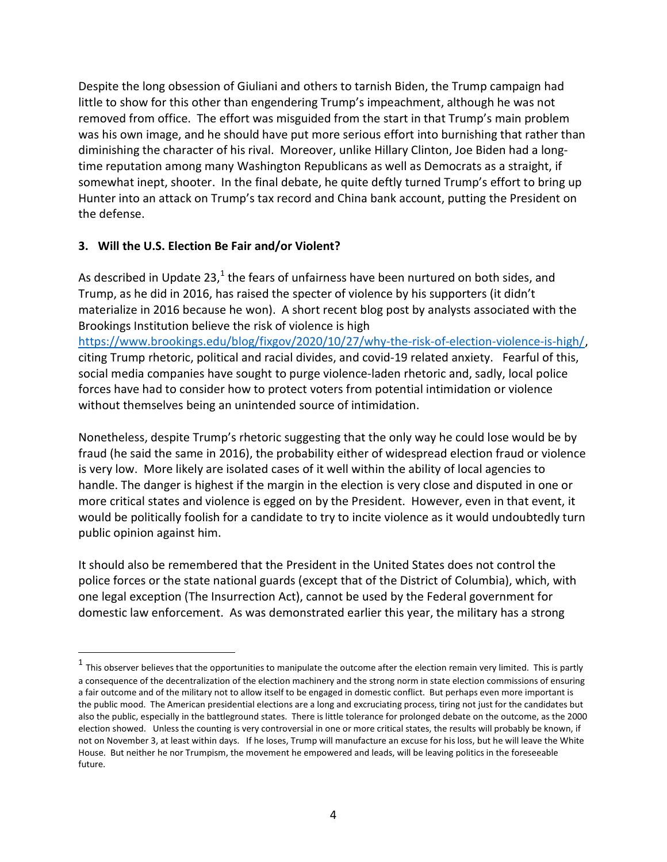Despite the long obsession of Giuliani and others to tarnish Biden, the Trump campaign had little to show for this other than engendering Trump's impeachment, although he was not removed from office. The effort was misguided from the start in that Trump's main problem was his own image, and he should have put more serious effort into burnishing that rather than diminishing the character of his rival. Moreover, unlike Hillary Clinton, Joe Biden had a longtime reputation among many Washington Republicans as well as Democrats as a straight, if somewhat inept, shooter. In the final debate, he quite deftly turned Trump's effort to bring up Hunter into an attack on Trump's tax record and China bank account, putting the President on the defense.

### 3. Will the U.S. Election Be Fair and/or Violent?

l

As described in Update 23,<sup>1</sup> the fears of unfairness have been nurtured on both sides, and Trump, as he did in 2016, has raised the specter of violence by his supporters (it didn't materialize in 2016 because he won). A short recent blog post by analysts associated with the Brookings Institution believe the risk of violence is high https://www.brookings.edu/blog/fixgov/2020/10/27/why-the-risk-of-election-violence-is-high/, citing Trump rhetoric, political and racial divides, and covid-19 related anxiety. Fearful of this, social media companies have sought to purge violence-laden rhetoric and, sadly, local police forces have had to consider how to protect voters from potential intimidation or violence without themselves being an unintended source of intimidation.

Nonetheless, despite Trump's rhetoric suggesting that the only way he could lose would be by fraud (he said the same in 2016), the probability either of widespread election fraud or violence is very low. More likely are isolated cases of it well within the ability of local agencies to handle. The danger is highest if the margin in the election is very close and disputed in one or more critical states and violence is egged on by the President. However, even in that event, it would be politically foolish for a candidate to try to incite violence as it would undoubtedly turn public opinion against him.

It should also be remembered that the President in the United States does not control the police forces or the state national guards (except that of the District of Columbia), which, with one legal exception (The Insurrection Act), cannot be used by the Federal government for domestic law enforcement. As was demonstrated earlier this year, the military has a strong

 $^1$  This observer believes that the opportunities to manipulate the outcome after the election remain very limited. This is partly a consequence of the decentralization of the election machinery and the strong norm in state election commissions of ensuring a fair outcome and of the military not to allow itself to be engaged in domestic conflict. But perhaps even more important is the public mood. The American presidential elections are a long and excruciating process, tiring not just for the candidates but also the public, especially in the battleground states. There is little tolerance for prolonged debate on the outcome, as the 2000 election showed. Unless the counting is very controversial in one or more critical states, the results will probably be known, if not on November 3, at least within days. If he loses, Trump will manufacture an excuse for his loss, but he will leave the White House. But neither he nor Trumpism, the movement he empowered and leads, will be leaving politics in the foreseeable future.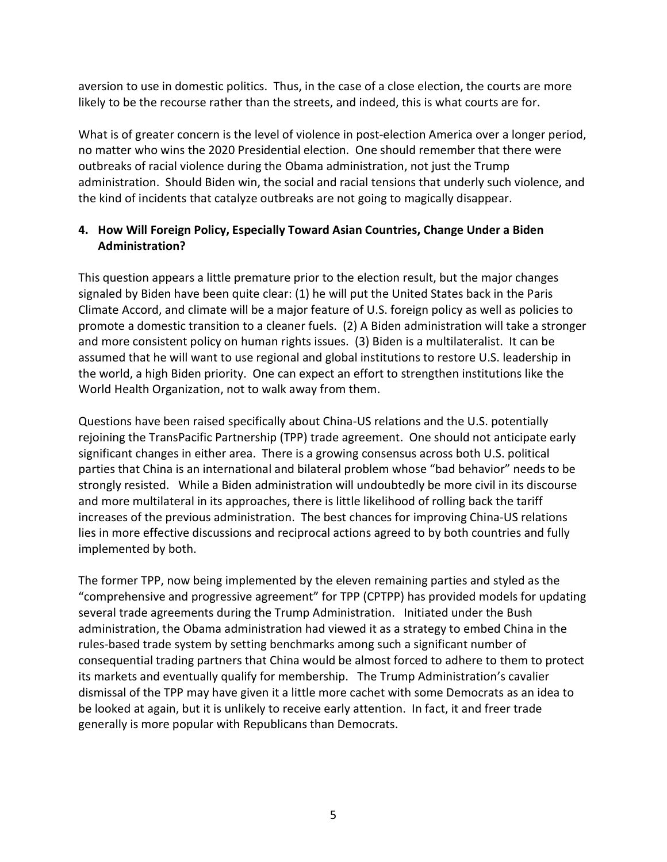aversion to use in domestic politics. Thus, in the case of a close election, the courts are more likely to be the recourse rather than the streets, and indeed, this is what courts are for.

What is of greater concern is the level of violence in post-election America over a longer period, no matter who wins the 2020 Presidential election. One should remember that there were outbreaks of racial violence during the Obama administration, not just the Trump administration. Should Biden win, the social and racial tensions that underly such violence, and the kind of incidents that catalyze outbreaks are not going to magically disappear.

## 4. How Will Foreign Policy, Especially Toward Asian Countries, Change Under a Biden Administration?

This question appears a little premature prior to the election result, but the major changes signaled by Biden have been quite clear: (1) he will put the United States back in the Paris Climate Accord, and climate will be a major feature of U.S. foreign policy as well as policies to promote a domestic transition to a cleaner fuels. (2) A Biden administration will take a stronger and more consistent policy on human rights issues. (3) Biden is a multilateralist. It can be assumed that he will want to use regional and global institutions to restore U.S. leadership in the world, a high Biden priority. One can expect an effort to strengthen institutions like the World Health Organization, not to walk away from them.

Questions have been raised specifically about China-US relations and the U.S. potentially rejoining the TransPacific Partnership (TPP) trade agreement. One should not anticipate early significant changes in either area. There is a growing consensus across both U.S. political parties that China is an international and bilateral problem whose "bad behavior" needs to be strongly resisted. While a Biden administration will undoubtedly be more civil in its discourse and more multilateral in its approaches, there is little likelihood of rolling back the tariff increases of the previous administration. The best chances for improving China-US relations lies in more effective discussions and reciprocal actions agreed to by both countries and fully implemented by both.

The former TPP, now being implemented by the eleven remaining parties and styled as the "comprehensive and progressive agreement" for TPP (CPTPP) has provided models for updating several trade agreements during the Trump Administration. Initiated under the Bush administration, the Obama administration had viewed it as a strategy to embed China in the rules-based trade system by setting benchmarks among such a significant number of consequential trading partners that China would be almost forced to adhere to them to protect its markets and eventually qualify for membership. The Trump Administration's cavalier dismissal of the TPP may have given it a little more cachet with some Democrats as an idea to be looked at again, but it is unlikely to receive early attention. In fact, it and freer trade generally is more popular with Republicans than Democrats.